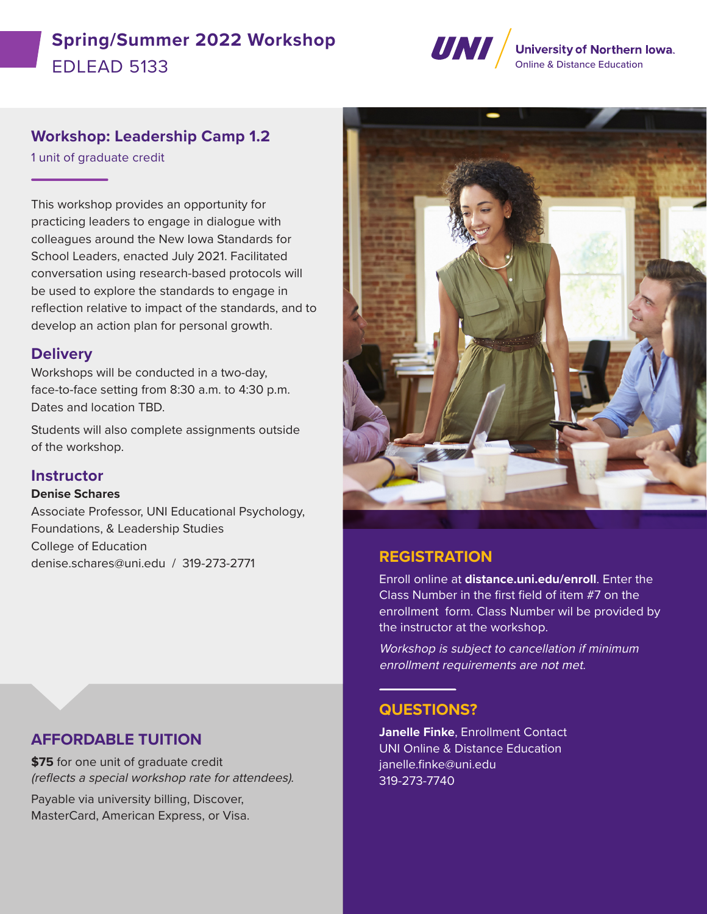# **Spring/Summer 2022 Workshop** Spring/Summer 2022 WOLKSHOP<br>EDI FAD 5133



# **Workshop: Leadership Camp 1.2**

1 unit of graduate credit

This workshop provides an opportunity for practicing leaders to engage in dialogue with colleagues around the New Iowa Standards for School Leaders, enacted July 2021. Facilitated conversation using research-based protocols will be used to explore the standards to engage in reflection relative to impact of the standards, and to develop an action plan for personal growth.

#### **Delivery**

Workshops will be conducted in a two-day, face-to-face setting from 8:30 a.m. to 4:30 p.m. Dates and location TBD.

Students will also complete assignments outside of the workshop.

## **Instructor**

#### **Denise Schares**

Associate Professor, UNI Educational Psychology, Foundations, & Leadership Studies College of Education denise.schares@uni.edu / 319-273-2771 **REGISTRATION**



Enroll online at **distance.uni.edu/enroll**. Enter the Class Number in the first field of item #7 on the enrollment form. Class Number wil be provided by the instructor at the workshop.

Workshop is subject to cancellation if minimum enrollment requirements are not met.

## **QUESTIONS?**

**Janelle Finke**, Enrollment Contact UNI Online & Distance Education janelle.finke@uni.edu 319-273-7740

# **AFFORDABLE TUITION**

**\$75** for one unit of graduate credit (reflects a special workshop rate for attendees).

Payable via university billing, Discover, MasterCard, American Express, or Visa.